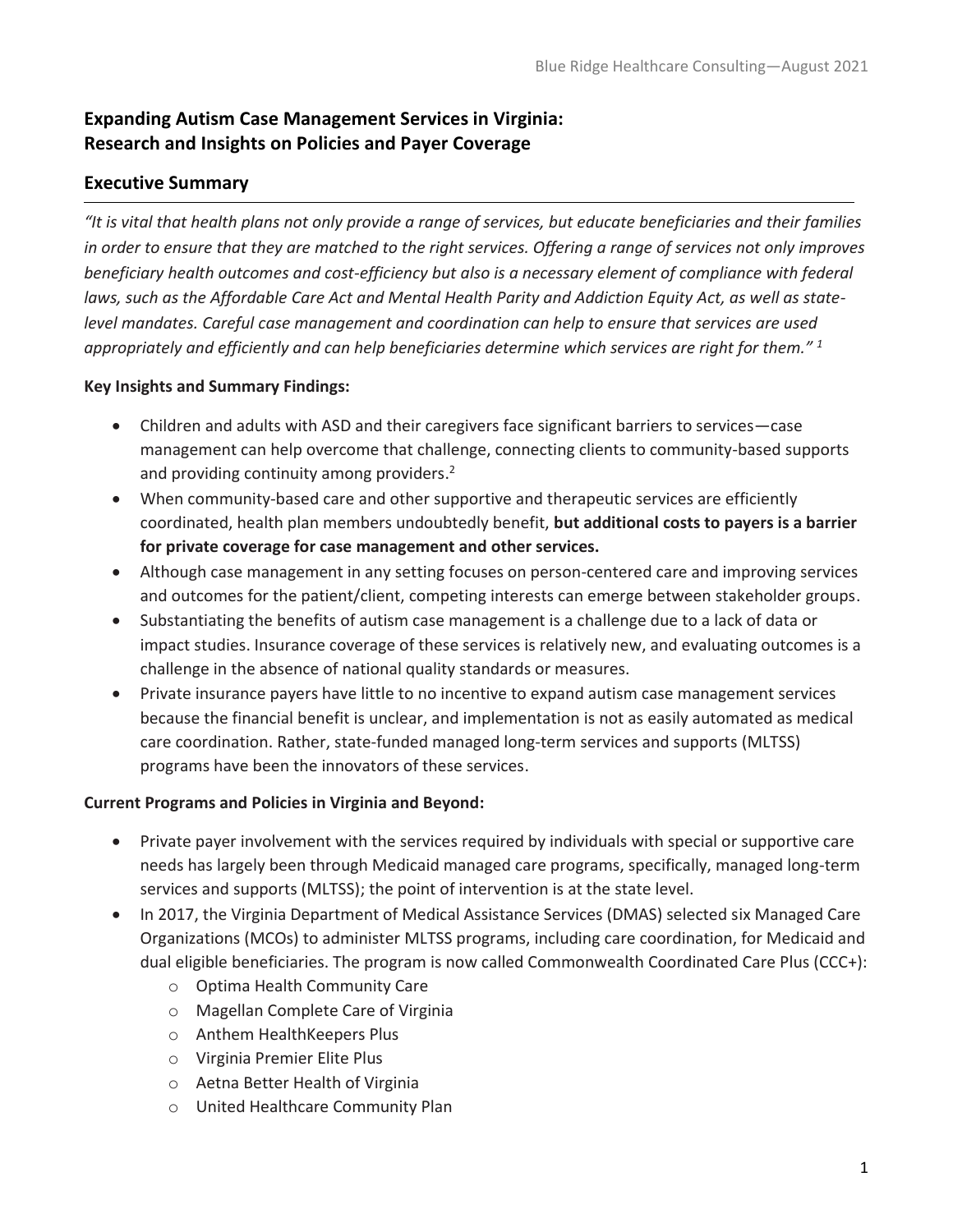# **Expanding Autism Case Management Services in Virginia: Research and Insights on Policies and Payer Coverage**

## **Executive Summary**

*"It is vital that health plans not only provide a range of services, but educate beneficiaries and their families in order to ensure that they are matched to the right services. Offering a range of services not only improves beneficiary health outcomes and cost-efficiency but also is a necessary element of compliance with federal laws, such as the Affordable Care Act and Mental Health Parity and Addiction Equity Act, as well as statelevel mandates. Careful case management and coordination can help to ensure that services are used appropriately and efficiently and can help beneficiaries determine which services are right for them." 1*

## **Key Insights and Summary Findings:**

- Children and adults with ASD and their caregivers face significant barriers to services—case management can help overcome that challenge, connecting clients to community-based supports and providing continuity among providers.<sup>2</sup>
- When community-based care and other supportive and therapeutic services are efficiently coordinated, health plan members undoubtedly benefit, **but additional costs to payers is a barrier for private coverage for case management and other services.**
- Although case management in any setting focuses on person-centered care and improving services and outcomes for the patient/client, competing interests can emerge between stakeholder groups.
- Substantiating the benefits of autism case management is a challenge due to a lack of data or impact studies. Insurance coverage of these services is relatively new, and evaluating outcomes is a challenge in the absence of national quality standards or measures.
- Private insurance payers have little to no incentive to expand autism case management services because the financial benefit is unclear, and implementation is not as easily automated as medical care coordination. Rather, state-funded managed long-term services and supports (MLTSS) programs have been the innovators of these services.

## **Current Programs and Policies in Virginia and Beyond:**

- Private payer involvement with the services required by individuals with special or supportive care needs has largely been through Medicaid managed care programs, specifically, managed long-term services and supports (MLTSS); the point of intervention is at the state level.
- In 2017, the Virginia Department of Medical Assistance Services (DMAS) selected six Managed Care Organizations (MCOs) to administer MLTSS programs, including care coordination, for Medicaid and dual eligible beneficiaries. The program is now called Commonwealth Coordinated Care Plus (CCC+):
	- o Optima Health Community Care
	- o Magellan Complete Care of Virginia
	- o Anthem HealthKeepers Plus
	- o Virginia Premier Elite Plus
	- o Aetna Better Health of Virginia
	- o United Healthcare Community Plan